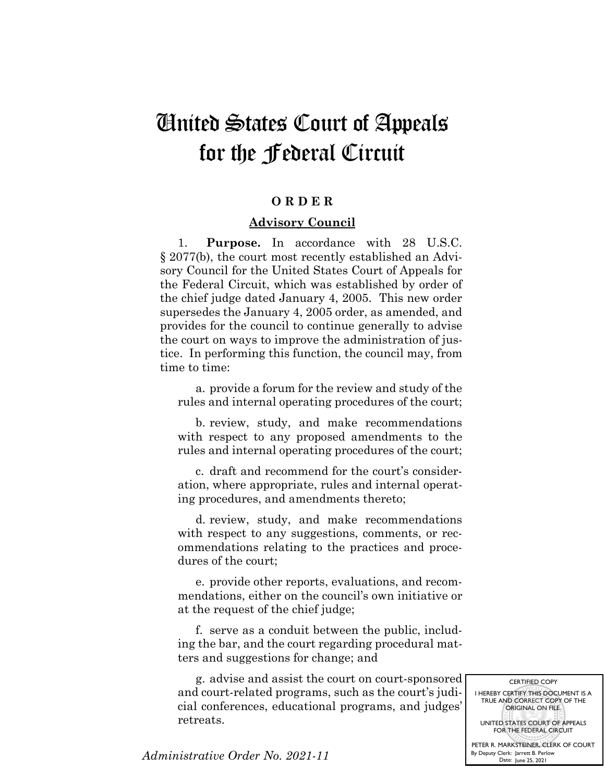## United States Court of Appeals for the Federal Circuit

## **O R D E R**

## **Advisory Council**

1. **Purpose.** In accordance with 28 U.S.C. § 2077(b), the court most recently established an Advisory Council for the United States Court of Appeals for the Federal Circuit, which was established by order of the chief judge dated January 4, 2005. This new order supersedes the January 4, 2005 order, as amended, and provides for the council to continue generally to advise the court on ways to improve the administration of justice. In performing this function, the council may, from time to time:

a. provide a forum for the review and study of the rules and internal operating procedures of the court;

b. review, study, and make recommendations with respect to any proposed amendments to the rules and internal operating procedures of the court;

c. draft and recommend for the court's consideration, where appropriate, rules and internal operating procedures, and amendments thereto;

d. review, study, and make recommendations with respect to any suggestions, comments, or recommendations relating to the practices and procedures of the court;

e. provide other reports, evaluations, and recommendations, either on the council's own initiative or at the request of the chief judge;

f. serve as a conduit between the public, including the bar, and the court regarding procedural matters and suggestions for change; and

g. advise and assist the court on court-sponsored and court-related programs, such as the court's judicial conferences, educational programs, and judges' retreats.

I HEREBY CERTIFY THIS DOCUMENT IS A TRUE AND CORRECT COPY OF THE ORIGINAL ON FILE. UNITED STATES COURT OF APPEALS FOR THE FEDERAL CIRCUIT PETER R. MARKSTEINER, CLERK OF COURT

By Deputy Clerk: Jarrett B. Perlow Date: June 25, 2021

CERTIFIED COPY

*Administrative Order No. 2021-11*